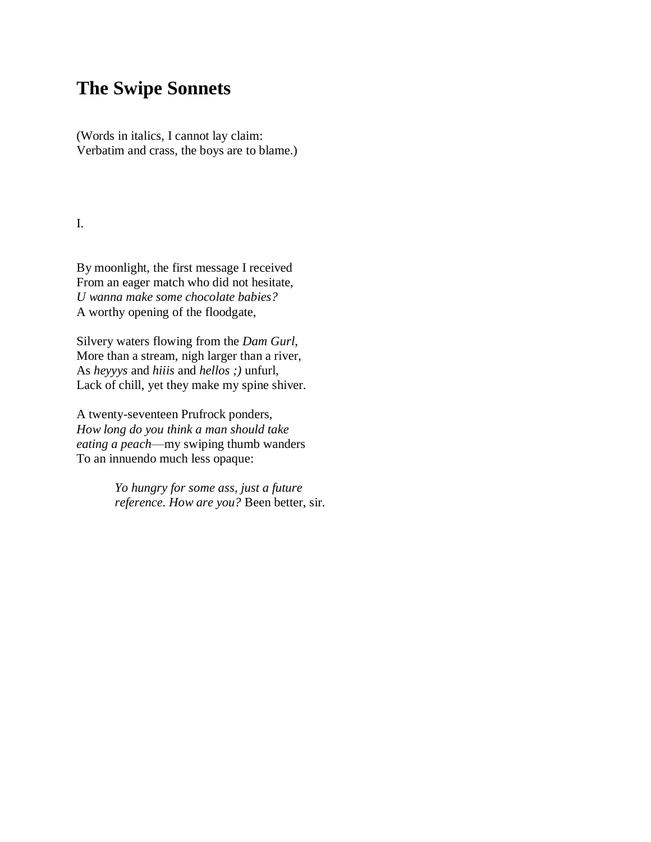## **The Swipe Sonnets**

(Words in italics, I cannot lay claim: Verbatim and crass, the boys are to blame.)

I.

By moonlight, the first message I received From an eager match who did not hesitate, *U wanna make some chocolate babies?* A worthy opening of the floodgate,

Silvery waters flowing from the *Dam Gurl*, More than a stream, nigh larger than a river, As *heyyys* and *hiiis* and *hellos ;)* unfurl, Lack of chill, yet they make my spine shiver.

A twenty-seventeen Prufrock ponders, *How long do you think a man should take eating a peach*—my swiping thumb wanders To an innuendo much less opaque:

> *Yo hungry for some ass, just a future reference. How are you?* Been better, sir.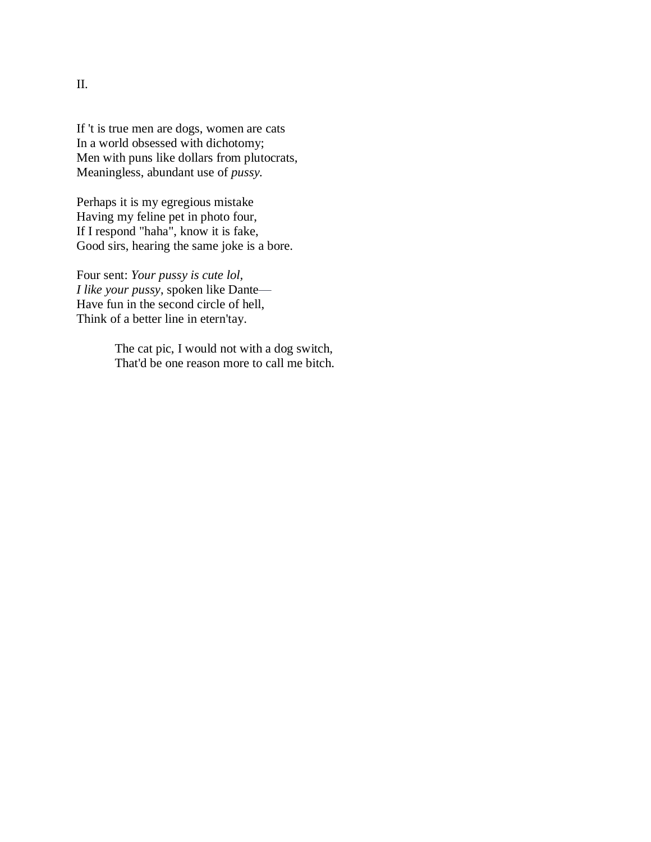If 't is true men are dogs, women are cats In a world obsessed with dichotomy; Men with puns like dollars from plutocrats, Meaningless, abundant use of *pussy.*

Perhaps it is my egregious mistake Having my feline pet in photo four, If I respond "haha", know it is fake, Good sirs, hearing the same joke is a bore.

Four sent: *Your pussy is cute lol, I like your pussy*, spoken like Dante— Have fun in the second circle of hell, Think of a better line in etern'tay.

> The cat pic, I would not with a dog switch, That'd be one reason more to call me bitch.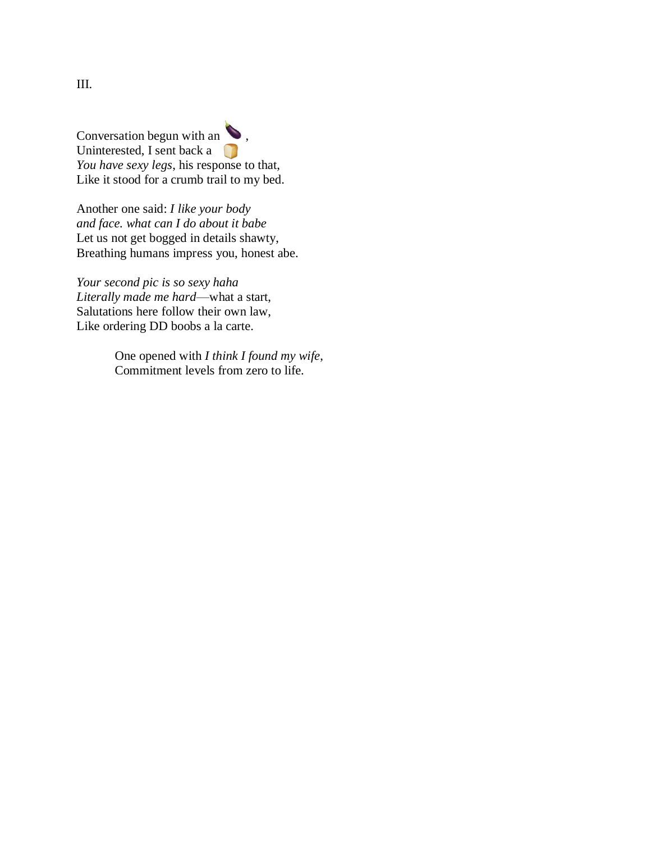Conversation begun with an  $\bullet$ , Uninterested, I sent back a *You have sexy legs*, his response to that, Like it stood for a crumb trail to my bed.

Another one said: *I like your body and face. what can I do about it babe* Let us not get bogged in details shawty, Breathing humans impress you, honest abe.

*Your second pic is so sexy haha Literally made me hard*—what a start, Salutations here follow their own law, Like ordering DD boobs a la carte.

> One opened with *I think I found my wife*, Commitment levels from zero to life.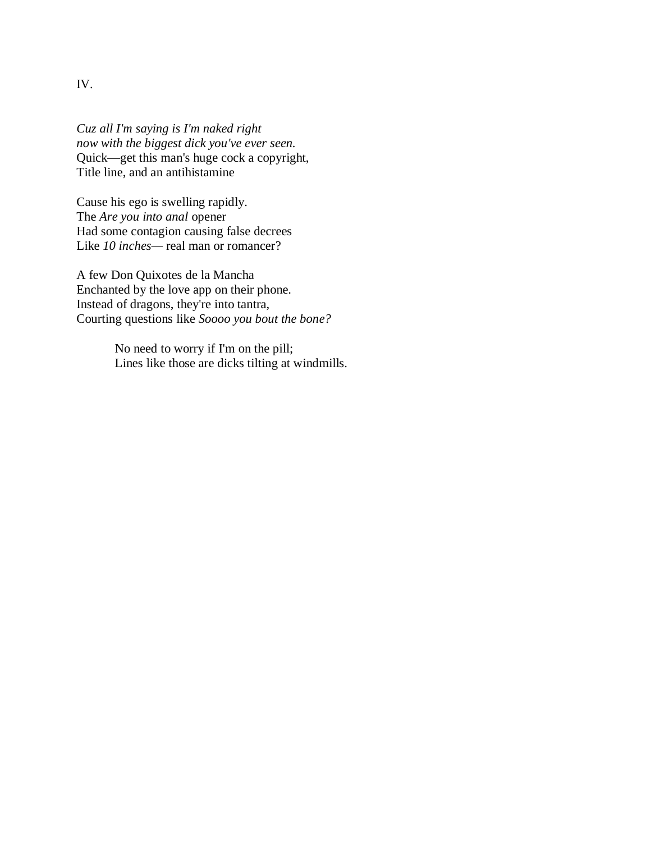IV.

*Cuz all I'm saying is I'm naked right now with the biggest dick you've ever seen.* Quick—get this man's huge cock a copyright, Title line, and an antihistamine

Cause his ego is swelling rapidly. The *Are you into anal* opener Had some contagion causing false decrees Like *10 inches*— real man or romancer?

A few Don Quixotes de la Mancha Enchanted by the love app on their phone. Instead of dragons, they're into tantra, Courting questions like *Soooo you bout the bone?*

> No need to worry if I'm on the pill; Lines like those are dicks tilting at windmills.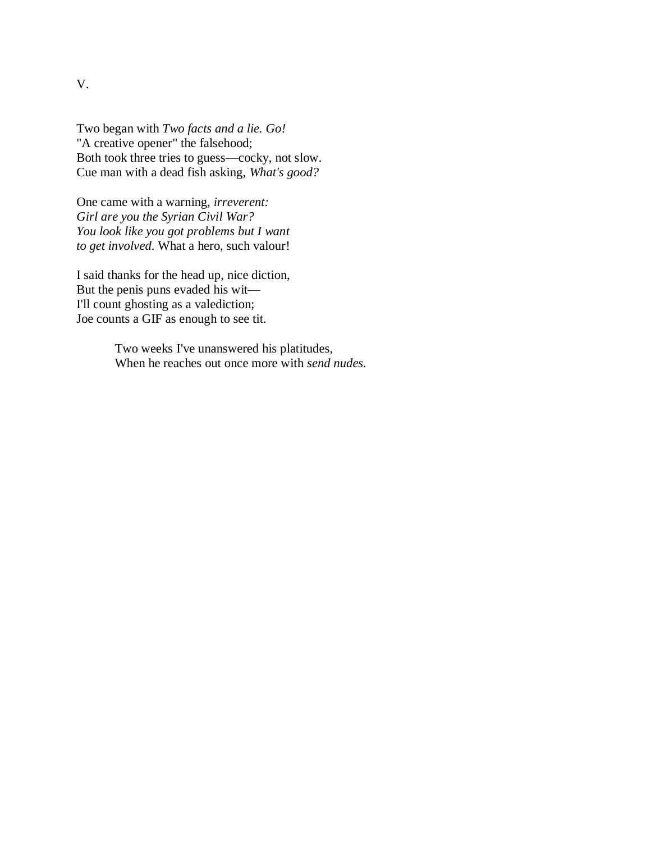Two began with *Two facts and a lie. Go!* "A creative opener" the falsehood; Both took three tries to guess—cocky, not slow. Cue man with a dead fish asking, *What's good?*

One came with a warning, *irreverent: Girl are you the Syrian Civil War? You look like you got problems but I want to get involved*. What a hero, such valour!

I said thanks for the head up, nice diction, But the penis puns evaded his wit— I'll count ghosting as a valediction; Joe counts a GIF as enough to see tit.

> Two weeks I've unanswered his platitudes, When he reaches out once more with *send nudes.*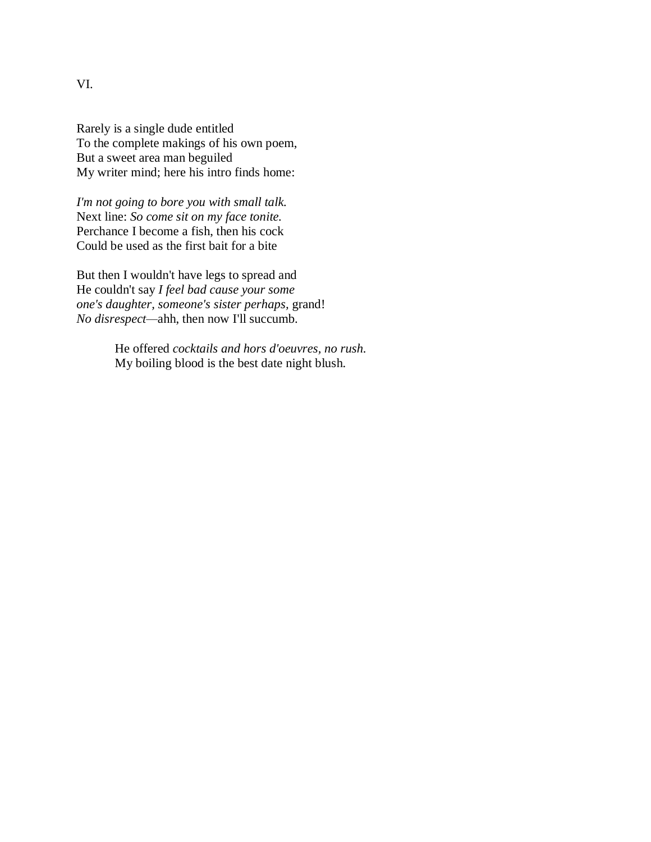Rarely is a single dude entitled To the complete makings of his own poem, But a sweet area man beguiled My writer mind; here his intro finds home:

*I'm not going to bore you with small talk.* Next line: *So come sit on my face tonite.* Perchance I become a fish, then his cock Could be used as the first bait for a bite

But then I wouldn't have legs to spread and He couldn't say *I feel bad cause your some one's daughter, someone's sister perhaps,* grand! *No disrespect—*ahh, then now I'll succumb.

> He offered *cocktails and hors d'oeuvres, no rush.* My boiling blood is the best date night blush.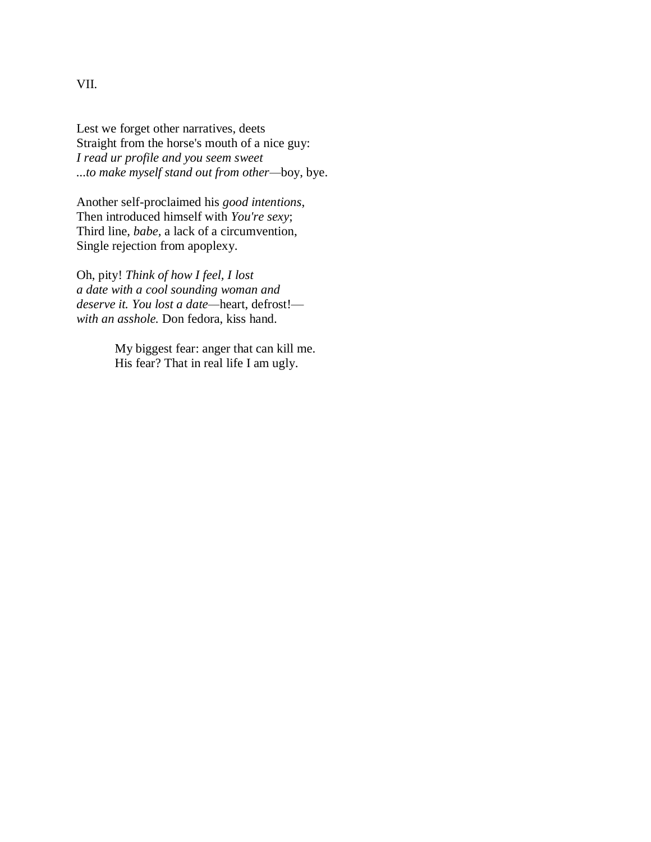Lest we forget other narratives, deets Straight from the horse's mouth of a nice guy: *I read ur profile and you seem sweet ...to make myself stand out from other—*boy, bye.

Another self-proclaimed his *good intentions*, Then introduced himself with *You're sexy*; Third line, *babe,* a lack of a circumvention, Single rejection from apoplexy.

Oh, pity! *Think of how I feel, I lost a date with a cool sounding woman and deserve it. You lost a date—*heart, defrost! *with an asshole.* Don fedora, kiss hand.

> My biggest fear: anger that can kill me. His fear? That in real life I am ugly.

## VII.